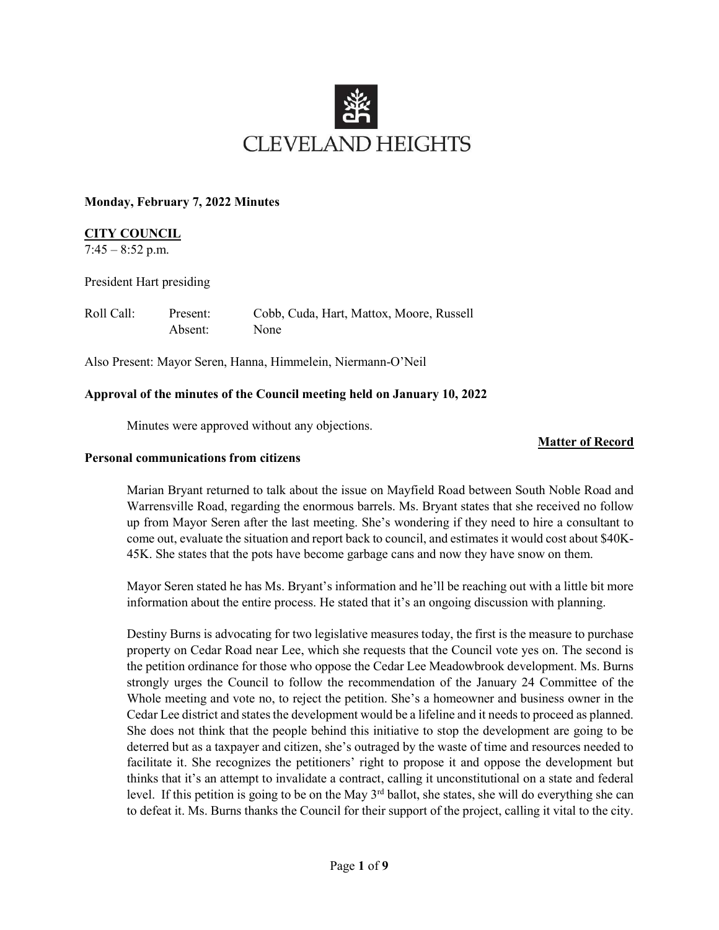

### Monday, February 7, 2022 Minutes

# CITY COUNCIL

 $7:45 - 8:52$  p.m.

President Hart presiding

| Roll Call: | Present: | Cobb, Cuda, Hart, Mattox, Moore, Russell |
|------------|----------|------------------------------------------|
|            | Absent:  | None                                     |

Also Present: Mayor Seren, Hanna, Himmelein, Niermann-O'Neil

### Approval of the minutes of the Council meeting held on January 10, 2022

Minutes were approved without any objections.

### Matter of Record

#### Personal communications from citizens

Marian Bryant returned to talk about the issue on Mayfield Road between South Noble Road and Warrensville Road, regarding the enormous barrels. Ms. Bryant states that she received no follow up from Mayor Seren after the last meeting. She's wondering if they need to hire a consultant to come out, evaluate the situation and report back to council, and estimates it would cost about \$40K-45K. She states that the pots have become garbage cans and now they have snow on them.

Mayor Seren stated he has Ms. Bryant's information and he'll be reaching out with a little bit more information about the entire process. He stated that it's an ongoing discussion with planning.

Destiny Burns is advocating for two legislative measures today, the first is the measure to purchase property on Cedar Road near Lee, which she requests that the Council vote yes on. The second is the petition ordinance for those who oppose the Cedar Lee Meadowbrook development. Ms. Burns strongly urges the Council to follow the recommendation of the January 24 Committee of the Whole meeting and vote no, to reject the petition. She's a homeowner and business owner in the Cedar Lee district and states the development would be a lifeline and it needs to proceed as planned. She does not think that the people behind this initiative to stop the development are going to be deterred but as a taxpayer and citizen, she's outraged by the waste of time and resources needed to facilitate it. She recognizes the petitioners' right to propose it and oppose the development but thinks that it's an attempt to invalidate a contract, calling it unconstitutional on a state and federal level. If this petition is going to be on the May 3<sup>rd</sup> ballot, she states, she will do everything she can to defeat it. Ms. Burns thanks the Council for their support of the project, calling it vital to the city.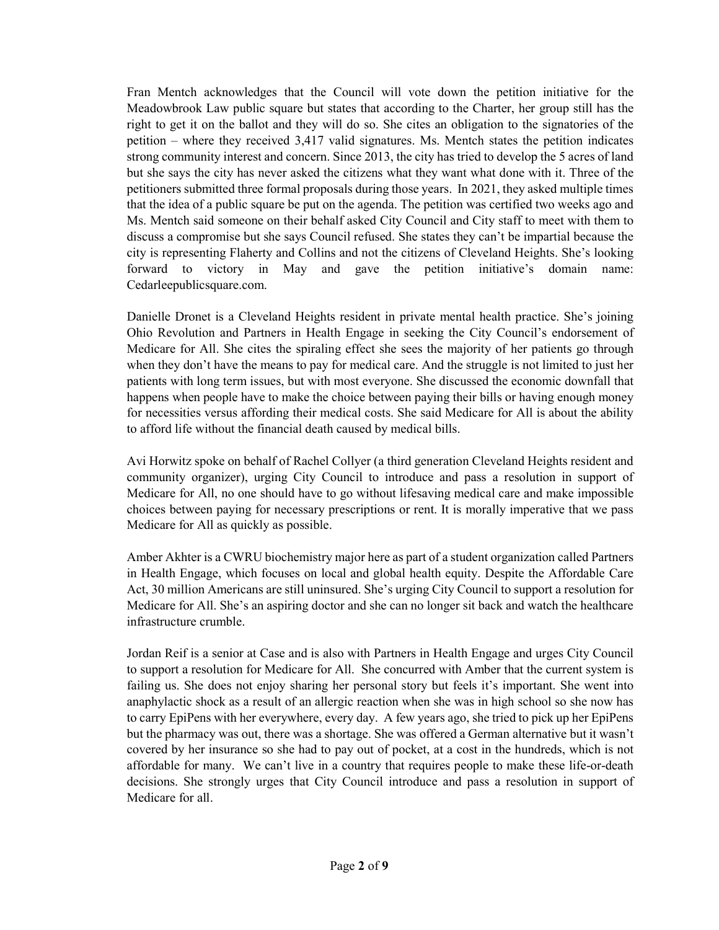Fran Mentch acknowledges that the Council will vote down the petition initiative for the Meadowbrook Law public square but states that according to the Charter, her group still has the right to get it on the ballot and they will do so. She cites an obligation to the signatories of the petition – where they received 3,417 valid signatures. Ms. Mentch states the petition indicates strong community interest and concern. Since 2013, the city has tried to develop the 5 acres of land but she says the city has never asked the citizens what they want what done with it. Three of the petitioners submitted three formal proposals during those years. In 2021, they asked multiple times that the idea of a public square be put on the agenda. The petition was certified two weeks ago and Ms. Mentch said someone on their behalf asked City Council and City staff to meet with them to discuss a compromise but she says Council refused. She states they can't be impartial because the city is representing Flaherty and Collins and not the citizens of Cleveland Heights. She's looking forward to victory in May and gave the petition initiative's domain name: Cedarleepublicsquare.com.

Danielle Dronet is a Cleveland Heights resident in private mental health practice. She's joining Ohio Revolution and Partners in Health Engage in seeking the City Council's endorsement of Medicare for All. She cites the spiraling effect she sees the majority of her patients go through when they don't have the means to pay for medical care. And the struggle is not limited to just her patients with long term issues, but with most everyone. She discussed the economic downfall that happens when people have to make the choice between paying their bills or having enough money for necessities versus affording their medical costs. She said Medicare for All is about the ability to afford life without the financial death caused by medical bills.

Avi Horwitz spoke on behalf of Rachel Collyer (a third generation Cleveland Heights resident and community organizer), urging City Council to introduce and pass a resolution in support of Medicare for All, no one should have to go without lifesaving medical care and make impossible choices between paying for necessary prescriptions or rent. It is morally imperative that we pass Medicare for All as quickly as possible.

Amber Akhter is a CWRU biochemistry major here as part of a student organization called Partners in Health Engage, which focuses on local and global health equity. Despite the Affordable Care Act, 30 million Americans are still uninsured. She's urging City Council to support a resolution for Medicare for All. She's an aspiring doctor and she can no longer sit back and watch the healthcare infrastructure crumble.

Jordan Reif is a senior at Case and is also with Partners in Health Engage and urges City Council to support a resolution for Medicare for All. She concurred with Amber that the current system is failing us. She does not enjoy sharing her personal story but feels it's important. She went into anaphylactic shock as a result of an allergic reaction when she was in high school so she now has to carry EpiPens with her everywhere, every day. A few years ago, she tried to pick up her EpiPens but the pharmacy was out, there was a shortage. She was offered a German alternative but it wasn't covered by her insurance so she had to pay out of pocket, at a cost in the hundreds, which is not affordable for many. We can't live in a country that requires people to make these life-or-death decisions. She strongly urges that City Council introduce and pass a resolution in support of Medicare for all.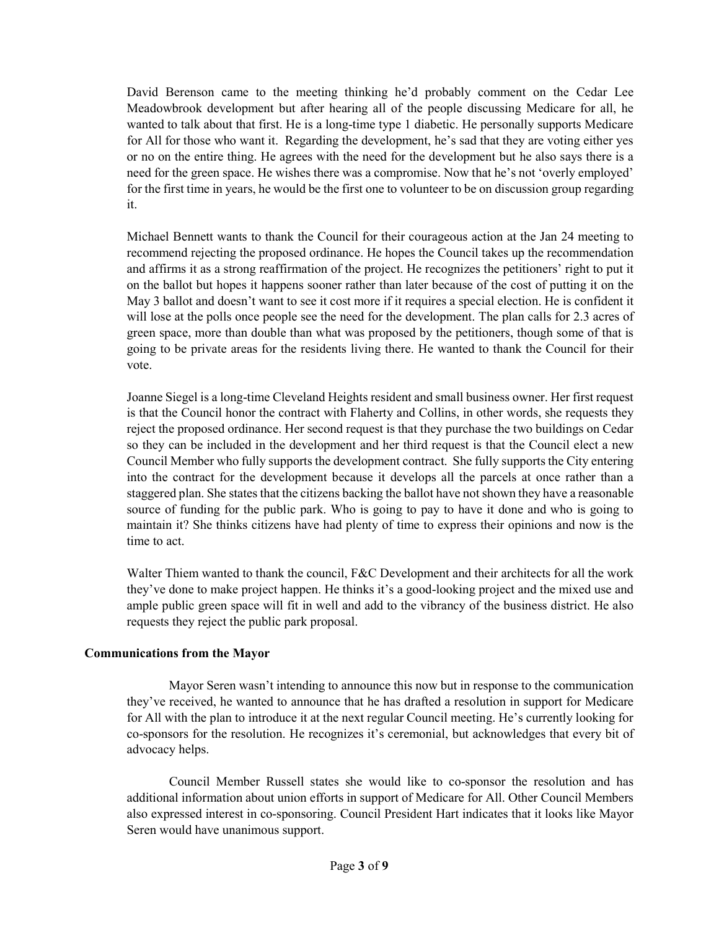David Berenson came to the meeting thinking he'd probably comment on the Cedar Lee Meadowbrook development but after hearing all of the people discussing Medicare for all, he wanted to talk about that first. He is a long-time type 1 diabetic. He personally supports Medicare for All for those who want it. Regarding the development, he's sad that they are voting either yes or no on the entire thing. He agrees with the need for the development but he also says there is a need for the green space. He wishes there was a compromise. Now that he's not 'overly employed' for the first time in years, he would be the first one to volunteer to be on discussion group regarding it.

Michael Bennett wants to thank the Council for their courageous action at the Jan 24 meeting to recommend rejecting the proposed ordinance. He hopes the Council takes up the recommendation and affirms it as a strong reaffirmation of the project. He recognizes the petitioners' right to put it on the ballot but hopes it happens sooner rather than later because of the cost of putting it on the May 3 ballot and doesn't want to see it cost more if it requires a special election. He is confident it will lose at the polls once people see the need for the development. The plan calls for 2.3 acres of green space, more than double than what was proposed by the petitioners, though some of that is going to be private areas for the residents living there. He wanted to thank the Council for their vote.

Joanne Siegel is a long-time Cleveland Heights resident and small business owner. Her first request is that the Council honor the contract with Flaherty and Collins, in other words, she requests they reject the proposed ordinance. Her second request is that they purchase the two buildings on Cedar so they can be included in the development and her third request is that the Council elect a new Council Member who fully supports the development contract. She fully supports the City entering into the contract for the development because it develops all the parcels at once rather than a staggered plan. She states that the citizens backing the ballot have not shown they have a reasonable source of funding for the public park. Who is going to pay to have it done and who is going to maintain it? She thinks citizens have had plenty of time to express their opinions and now is the time to act.

Walter Thiem wanted to thank the council, F&C Development and their architects for all the work they've done to make project happen. He thinks it's a good-looking project and the mixed use and ample public green space will fit in well and add to the vibrancy of the business district. He also requests they reject the public park proposal.

# Communications from the Mayor

Mayor Seren wasn't intending to announce this now but in response to the communication they've received, he wanted to announce that he has drafted a resolution in support for Medicare for All with the plan to introduce it at the next regular Council meeting. He's currently looking for co-sponsors for the resolution. He recognizes it's ceremonial, but acknowledges that every bit of advocacy helps.

 Council Member Russell states she would like to co-sponsor the resolution and has additional information about union efforts in support of Medicare for All. Other Council Members also expressed interest in co-sponsoring. Council President Hart indicates that it looks like Mayor Seren would have unanimous support.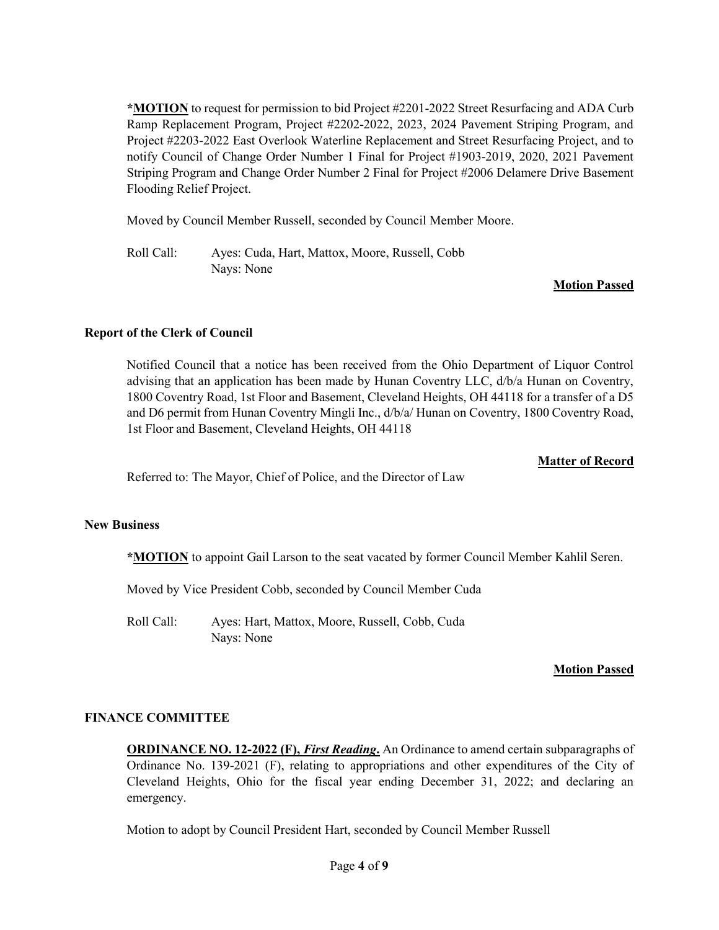\*MOTION to request for permission to bid Project #2201-2022 Street Resurfacing and ADA Curb Ramp Replacement Program, Project #2202-2022, 2023, 2024 Pavement Striping Program, and Project #2203-2022 East Overlook Waterline Replacement and Street Resurfacing Project, and to notify Council of Change Order Number 1 Final for Project #1903-2019, 2020, 2021 Pavement Striping Program and Change Order Number 2 Final for Project #2006 Delamere Drive Basement Flooding Relief Project.

Moved by Council Member Russell, seconded by Council Member Moore.

 Roll Call: Ayes: Cuda, Hart, Mattox, Moore, Russell, Cobb Nays: None

Motion Passed

### Report of the Clerk of Council

Notified Council that a notice has been received from the Ohio Department of Liquor Control advising that an application has been made by Hunan Coventry LLC, d/b/a Hunan on Coventry, 1800 Coventry Road, 1st Floor and Basement, Cleveland Heights, OH 44118 for a transfer of a D5 and D6 permit from Hunan Coventry Mingli Inc., d/b/a/ Hunan on Coventry, 1800 Coventry Road, 1st Floor and Basement, Cleveland Heights, OH 44118

#### Matter of Record

Referred to: The Mayor, Chief of Police, and the Director of Law

### New Business

\*MOTION to appoint Gail Larson to the seat vacated by former Council Member Kahlil Seren.

Moved by Vice President Cobb, seconded by Council Member Cuda

 Roll Call: Ayes: Hart, Mattox, Moore, Russell, Cobb, Cuda Nays: None

### **Motion Passed**

### FINANCE COMMITTEE

ORDINANCE NO. 12-2022 (F), First Reading. An Ordinance to amend certain subparagraphs of Ordinance No. 139-2021 (F), relating to appropriations and other expenditures of the City of Cleveland Heights, Ohio for the fiscal year ending December 31, 2022; and declaring an emergency.

Motion to adopt by Council President Hart, seconded by Council Member Russell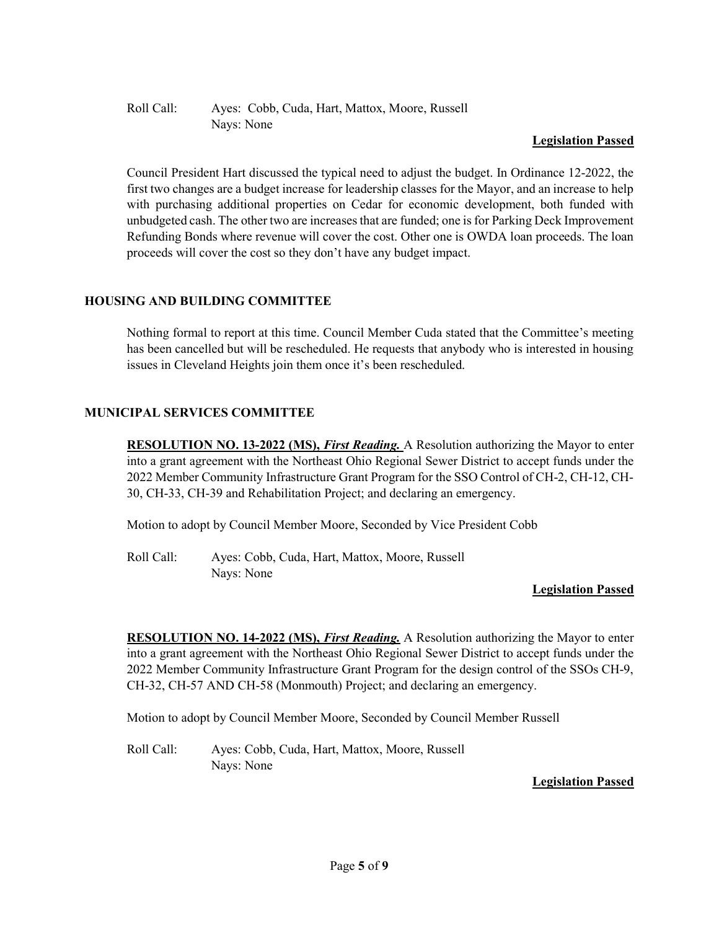# Roll Call: Ayes: Cobb, Cuda, Hart, Mattox, Moore, Russell Nays: None

# Legislation Passed

Council President Hart discussed the typical need to adjust the budget. In Ordinance 12-2022, the first two changes are a budget increase for leadership classes for the Mayor, and an increase to help with purchasing additional properties on Cedar for economic development, both funded with unbudgeted cash. The other two are increases that are funded; one is for Parking Deck Improvement Refunding Bonds where revenue will cover the cost. Other one is OWDA loan proceeds. The loan proceeds will cover the cost so they don't have any budget impact.

# HOUSING AND BUILDING COMMITTEE

Nothing formal to report at this time. Council Member Cuda stated that the Committee's meeting has been cancelled but will be rescheduled. He requests that anybody who is interested in housing issues in Cleveland Heights join them once it's been rescheduled.

# MUNICIPAL SERVICES COMMITTEE

RESOLUTION NO. 13-2022 (MS), First Reading. A Resolution authorizing the Mayor to enter into a grant agreement with the Northeast Ohio Regional Sewer District to accept funds under the 2022 Member Community Infrastructure Grant Program for the SSO Control of CH-2, CH-12, CH-30, CH-33, CH-39 and Rehabilitation Project; and declaring an emergency.

Motion to adopt by Council Member Moore, Seconded by Vice President Cobb

 Roll Call: Ayes: Cobb, Cuda, Hart, Mattox, Moore, Russell Nays: None

# Legislation Passed

**RESOLUTION NO. 14-2022 (MS), First Reading.** A Resolution authorizing the Mayor to enter into a grant agreement with the Northeast Ohio Regional Sewer District to accept funds under the 2022 Member Community Infrastructure Grant Program for the design control of the SSOs CH-9, CH-32, CH-57 AND CH-58 (Monmouth) Project; and declaring an emergency.

Motion to adopt by Council Member Moore, Seconded by Council Member Russell

 Roll Call: Ayes: Cobb, Cuda, Hart, Mattox, Moore, Russell Nays: None

# Legislation Passed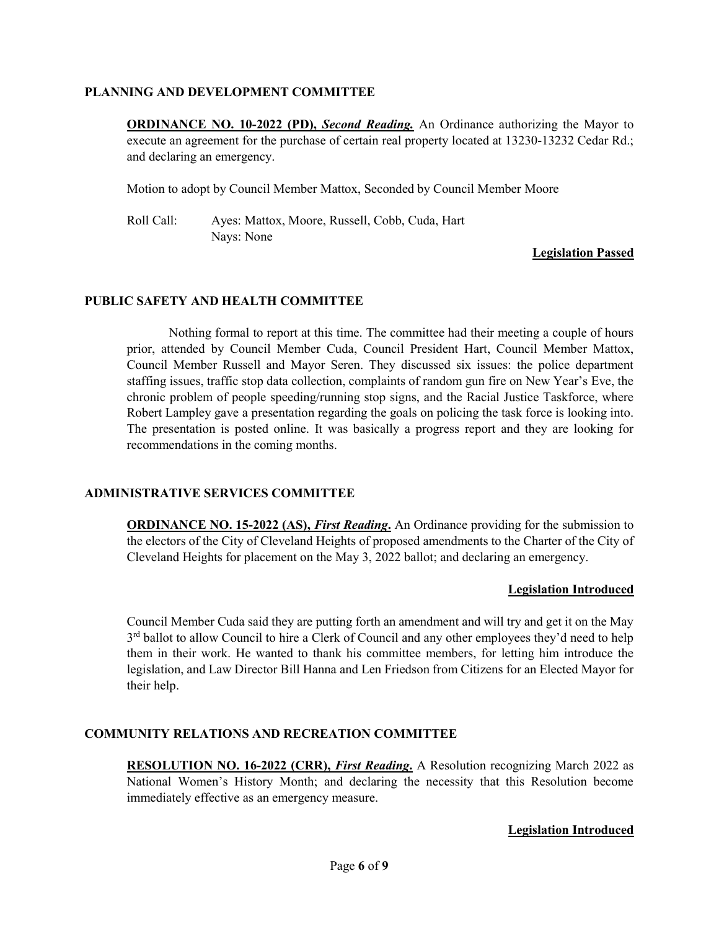### PLANNING AND DEVELOPMENT COMMITTEE

ORDINANCE NO. 10-2022 (PD), Second Reading. An Ordinance authorizing the Mayor to execute an agreement for the purchase of certain real property located at 13230-13232 Cedar Rd.; and declaring an emergency.

Motion to adopt by Council Member Mattox, Seconded by Council Member Moore

 Roll Call: Ayes: Mattox, Moore, Russell, Cobb, Cuda, Hart Nays: None

### Legislation Passed

# PUBLIC SAFETY AND HEALTH COMMITTEE

Nothing formal to report at this time. The committee had their meeting a couple of hours prior, attended by Council Member Cuda, Council President Hart, Council Member Mattox, Council Member Russell and Mayor Seren. They discussed six issues: the police department staffing issues, traffic stop data collection, complaints of random gun fire on New Year's Eve, the chronic problem of people speeding/running stop signs, and the Racial Justice Taskforce, where Robert Lampley gave a presentation regarding the goals on policing the task force is looking into. The presentation is posted online. It was basically a progress report and they are looking for recommendations in the coming months.

# ADMINISTRATIVE SERVICES COMMITTEE

**ORDINANCE NO. 15-2022 (AS), First Reading.** An Ordinance providing for the submission to the electors of the City of Cleveland Heights of proposed amendments to the Charter of the City of Cleveland Heights for placement on the May 3, 2022 ballot; and declaring an emergency.

### Legislation Introduced

Council Member Cuda said they are putting forth an amendment and will try and get it on the May 3<sup>rd</sup> ballot to allow Council to hire a Clerk of Council and any other employees they'd need to help them in their work. He wanted to thank his committee members, for letting him introduce the legislation, and Law Director Bill Hanna and Len Friedson from Citizens for an Elected Mayor for their help.

# COMMUNITY RELATIONS AND RECREATION COMMITTEE

RESOLUTION NO. 16-2022 (CRR), First Reading. A Resolution recognizing March 2022 as National Women's History Month; and declaring the necessity that this Resolution become immediately effective as an emergency measure.

# Legislation Introduced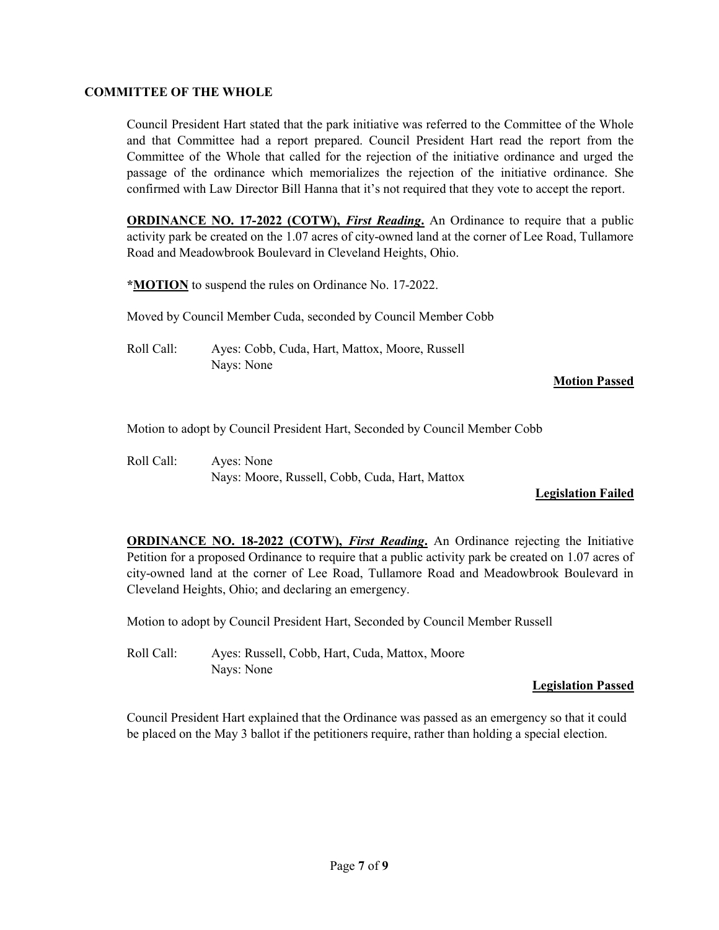### COMMITTEE OF THE WHOLE

Council President Hart stated that the park initiative was referred to the Committee of the Whole and that Committee had a report prepared. Council President Hart read the report from the Committee of the Whole that called for the rejection of the initiative ordinance and urged the passage of the ordinance which memorializes the rejection of the initiative ordinance. She confirmed with Law Director Bill Hanna that it's not required that they vote to accept the report.

**ORDINANCE NO. 17-2022 (COTW), First Reading.** An Ordinance to require that a public activity park be created on the 1.07 acres of city-owned land at the corner of Lee Road, Tullamore Road and Meadowbrook Boulevard in Cleveland Heights, Ohio.

\*MOTION to suspend the rules on Ordinance No. 17-2022.

Moved by Council Member Cuda, seconded by Council Member Cobb

 Roll Call: Ayes: Cobb, Cuda, Hart, Mattox, Moore, Russell Nays: None

### Motion Passed

Motion to adopt by Council President Hart, Seconded by Council Member Cobb

 Roll Call: Ayes: None Nays: Moore, Russell, Cobb, Cuda, Hart, Mattox

# Legislation Failed

**ORDINANCE NO. 18-2022 (COTW), First Reading.** An Ordinance rejecting the Initiative Petition for a proposed Ordinance to require that a public activity park be created on 1.07 acres of city-owned land at the corner of Lee Road, Tullamore Road and Meadowbrook Boulevard in Cleveland Heights, Ohio; and declaring an emergency.

Motion to adopt by Council President Hart, Seconded by Council Member Russell

 Roll Call: Ayes: Russell, Cobb, Hart, Cuda, Mattox, Moore Nays: None

### Legislation Passed

Council President Hart explained that the Ordinance was passed as an emergency so that it could be placed on the May 3 ballot if the petitioners require, rather than holding a special election.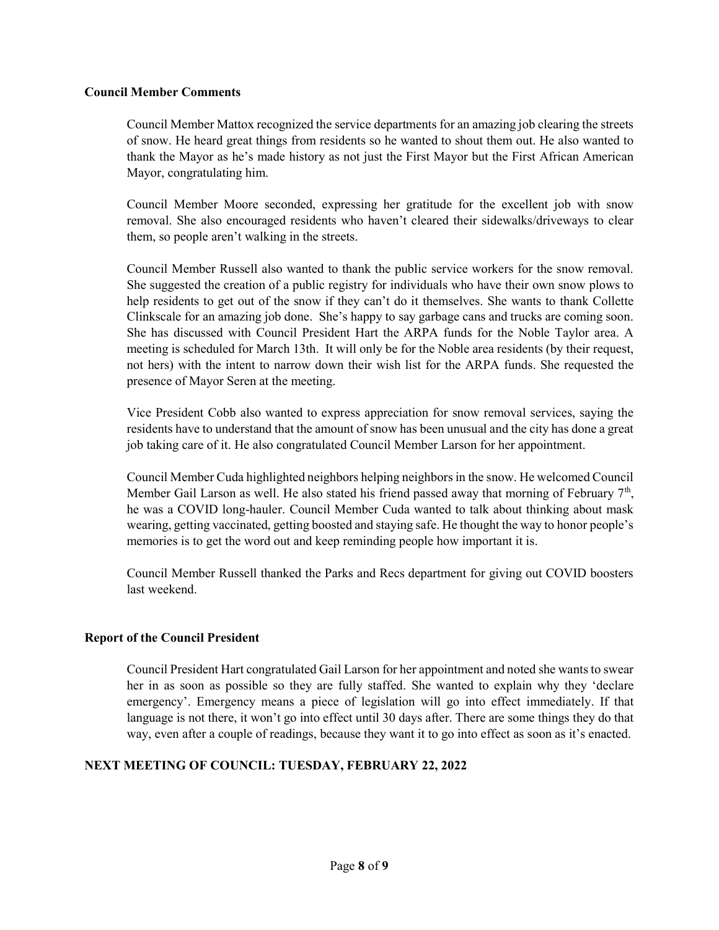### Council Member Comments

Council Member Mattox recognized the service departments for an amazing job clearing the streets of snow. He heard great things from residents so he wanted to shout them out. He also wanted to thank the Mayor as he's made history as not just the First Mayor but the First African American Mayor, congratulating him.

Council Member Moore seconded, expressing her gratitude for the excellent job with snow removal. She also encouraged residents who haven't cleared their sidewalks/driveways to clear them, so people aren't walking in the streets.

Council Member Russell also wanted to thank the public service workers for the snow removal. She suggested the creation of a public registry for individuals who have their own snow plows to help residents to get out of the snow if they can't do it themselves. She wants to thank Collette Clinkscale for an amazing job done. She's happy to say garbage cans and trucks are coming soon. She has discussed with Council President Hart the ARPA funds for the Noble Taylor area. A meeting is scheduled for March 13th. It will only be for the Noble area residents (by their request, not hers) with the intent to narrow down their wish list for the ARPA funds. She requested the presence of Mayor Seren at the meeting.

Vice President Cobb also wanted to express appreciation for snow removal services, saying the residents have to understand that the amount of snow has been unusual and the city has done a great job taking care of it. He also congratulated Council Member Larson for her appointment.

Council Member Cuda highlighted neighbors helping neighbors in the snow. He welcomed Council Member Gail Larson as well. He also stated his friend passed away that morning of February  $7<sup>th</sup>$ , he was a COVID long-hauler. Council Member Cuda wanted to talk about thinking about mask wearing, getting vaccinated, getting boosted and staying safe. He thought the way to honor people's memories is to get the word out and keep reminding people how important it is.

Council Member Russell thanked the Parks and Recs department for giving out COVID boosters last weekend.

### Report of the Council President

Council President Hart congratulated Gail Larson for her appointment and noted she wants to swear her in as soon as possible so they are fully staffed. She wanted to explain why they 'declare emergency'. Emergency means a piece of legislation will go into effect immediately. If that language is not there, it won't go into effect until 30 days after. There are some things they do that way, even after a couple of readings, because they want it to go into effect as soon as it's enacted.

# NEXT MEETING OF COUNCIL: TUESDAY, FEBRUARY 22, 2022